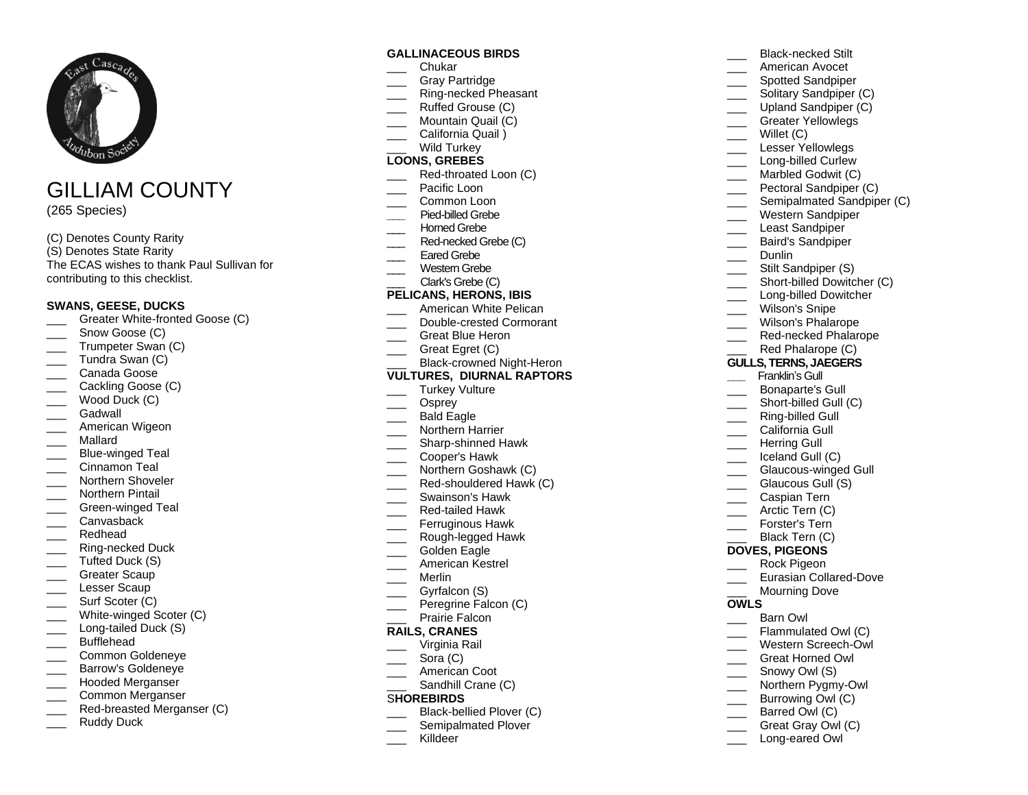

# GILLIAM COUNTY

(265 Species)

#### (C) Denotes County Rarity

(S) Denotes State Rarity The ECAS wishes to thank Paul Sullivan for contributing to this checklist.

#### **SWANS, GEESE, DUCKS**

- Greater White-fronted Goose (C)
- Snow Goose (C)
- Trumpeter Swan (C)
- Tundra Swan (C)
- Canada Goose
- Cackling Goose (C)
- Wood Duck (C)
- Gadwall
- American Wigeon
- \_\_\_ Mallard
- Blue-winged Teal
- Cinnamon Teal
- Northern Shoveler
- Northern Pintail
- Green-winged Teal
- Canvasback
- Redhead
- \_\_\_ Ring-necked Duck
- Tufted Duck (S)
- Greater Scaup
- Lesser Scaup
- Surf Scoter (C)
- White-winged Scoter (C)
- Long-tailed Duck (S)
- Bufflehead
- \_\_\_ Common Goldeneye
- \_\_\_ Barrow's Goldeneye
- Hooded Merganser
- \_\_\_ Common Merganser
- Red-breasted Merganser (C)
- Ruddy Duck

#### **GALLINACEOUS BIRDS**

- \_\_\_ Chukar
- Gray Partridge
- Ring-necked Pheasant
- Ruffed Grouse (C) Mountain Quail (C)
- California Quail )
- Wild Turkey

## **LOONS, GREBES**

- Red-throated Loon (C)
- Pacific Loon
- Common Loon
- **\_\_\_** Pied-billed Grebe
- Horned Grebe
- Red-necked Grebe (C)
- Fared Grebe
- Western Grebe
- Clark's Grebe (C)

#### **PELICANS, HERONS, IBIS**

- American White Pelican
- Double-crested Cormorant
- Great Blue Heron
- Great Egret (C)

#### Black-crowned Night-Heron **VULTURES, DIURNAL RAPTORS**

- Turkey Vulture
- Osprey
- Bald Eagle
- Northern Harrier
- \_\_\_ Sharp-shinned Hawk
- \_\_\_ Cooper's Hawk
- Northern Goshawk (C)
- Red-shouldered Hawk (C)
- \_\_\_ Swainson's Hawk
- \_\_\_ Red-tailed Hawk
- Ferruginous Hawk
- \_\_\_ Rough-legged Hawk
- \_\_\_ Golden Eagle
- American Kestrel
- \_\_\_ Merlin
- Gyrfalcon (S)
- Peregrine Falcon (C)
- Prairie Falcon

## **RAILS, CRANES**

- \_\_\_ Virginia Rail
- Sora (C)
- American Coot
- Sandhill Crane (C)

## S**HOREBIRDS**

- Black-bellied Plover (C)
- Semipalmated Plover
- \_\_\_ Killdeer

American Avocet \_\_\_ Spotted Sandpiper Solitary Sandpiper (C) Upland Sandpiper (C) Greater Yellowlegs Willet (C) \_\_\_ Lesser Yellowlegs Long-billed Curlew Marbled Godwit (C) Pectoral Sandpiper (C) \_\_\_ Semipalmated Sandpiper (C) \_\_\_ Western Sandpiper Least Sandpiper \_\_\_ Baird's Sandpiper Dunlin Stilt Sandpiper (S) Short-billed Dowitcher (C) \_\_\_\_ Long-billed Dowitcher Wilson's Snipe Wilson's Phalarope Red-necked Phalarope Red Phalarope (C) **GULLS, TERNS, JAEGERS \_\_\_** Franklin's Gull \_\_\_ Bonaparte's Gull \_\_\_\_ Short-billed Gull (C) Ring-billed Gull California Gull \_\_\_ Herring Gull Iceland Gull (C) Glaucous-winged Gull Glaucous Gull (S) \_\_\_ Caspian Tern Arctic Tern (C) Forster's Tern Black Tern (C) **DOVES, PIGEONS** \_\_\_ Rock Pigeon Eurasian Collared-Dove Mourning Dove **OWLS** Barn Owl Flammulated Owl (C) \_\_\_ Western Screech-Owl \_\_\_ Great Horned Owl Snowy Owl (S)

\_\_\_ Black-necked Stilt

- Northern Pygmy-Owl
- Burrowing Owl (C)
- Barred Owl (C)
- Great Gray Owl (C)
- Long-eared Owl
-